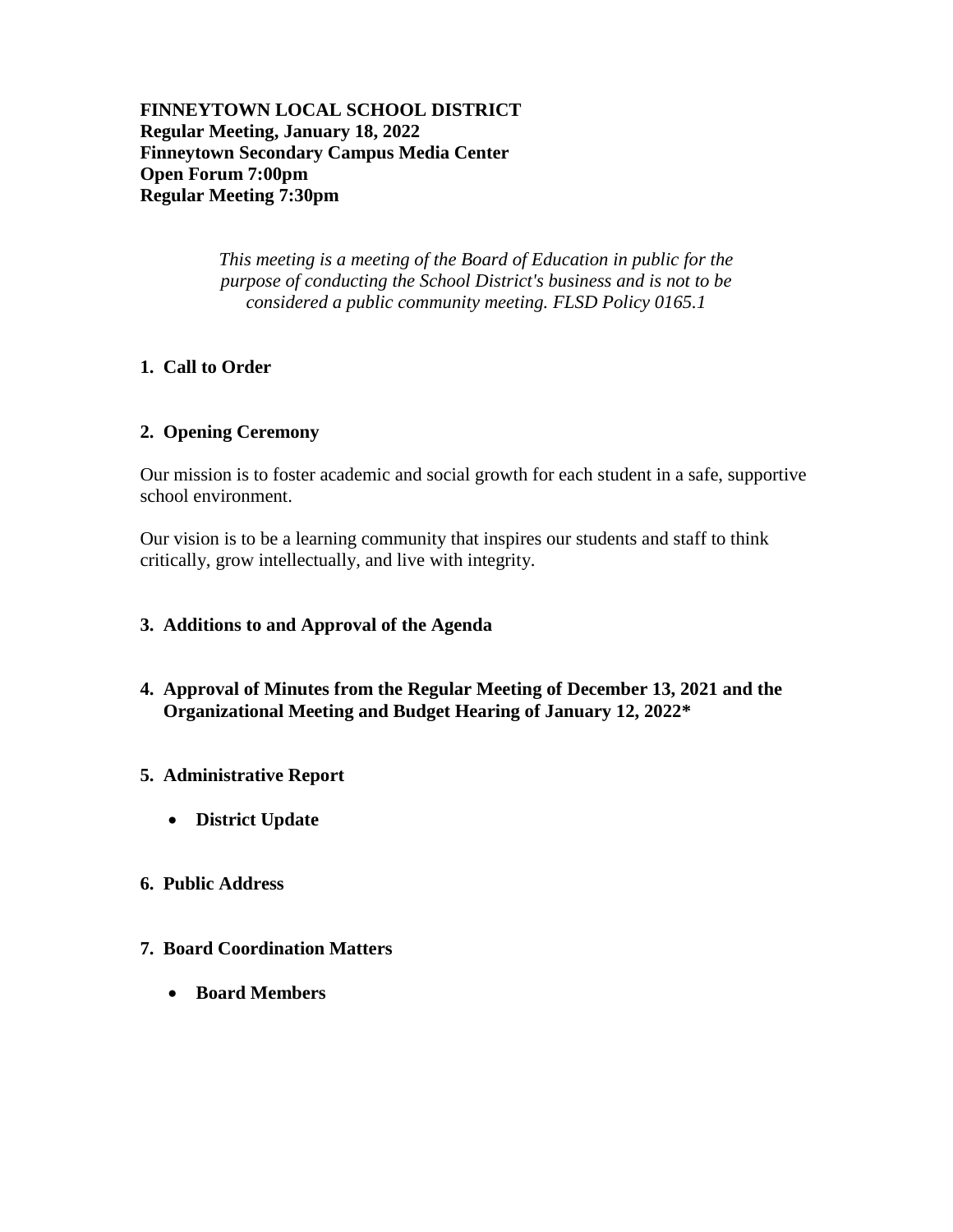**FINNEYTOWN LOCAL SCHOOL DISTRICT Regular Meeting, January 18, 2022 Finneytown Secondary Campus Media Center Open Forum 7:00pm Regular Meeting 7:30pm**

> *This meeting is a meeting of the Board of Education in public for the purpose of conducting the School District's business and is not to be considered a public community meeting. FLSD Policy 0165.1*

# **1. Call to Order**

# **2. Opening Ceremony**

Our mission is to foster academic and social growth for each student in a safe, supportive school environment.

Our vision is to be a learning community that inspires our students and staff to think critically, grow intellectually, and live with integrity.

# **3. Additions to and Approval of the Agenda**

**4. Approval of Minutes from the Regular Meeting of December 13, 2021 and the Organizational Meeting and Budget Hearing of January 12, 2022\***

# **5. Administrative Report**

**District Update**

# **6. Public Address**

- **7. Board Coordination Matters**
	- **Board Members**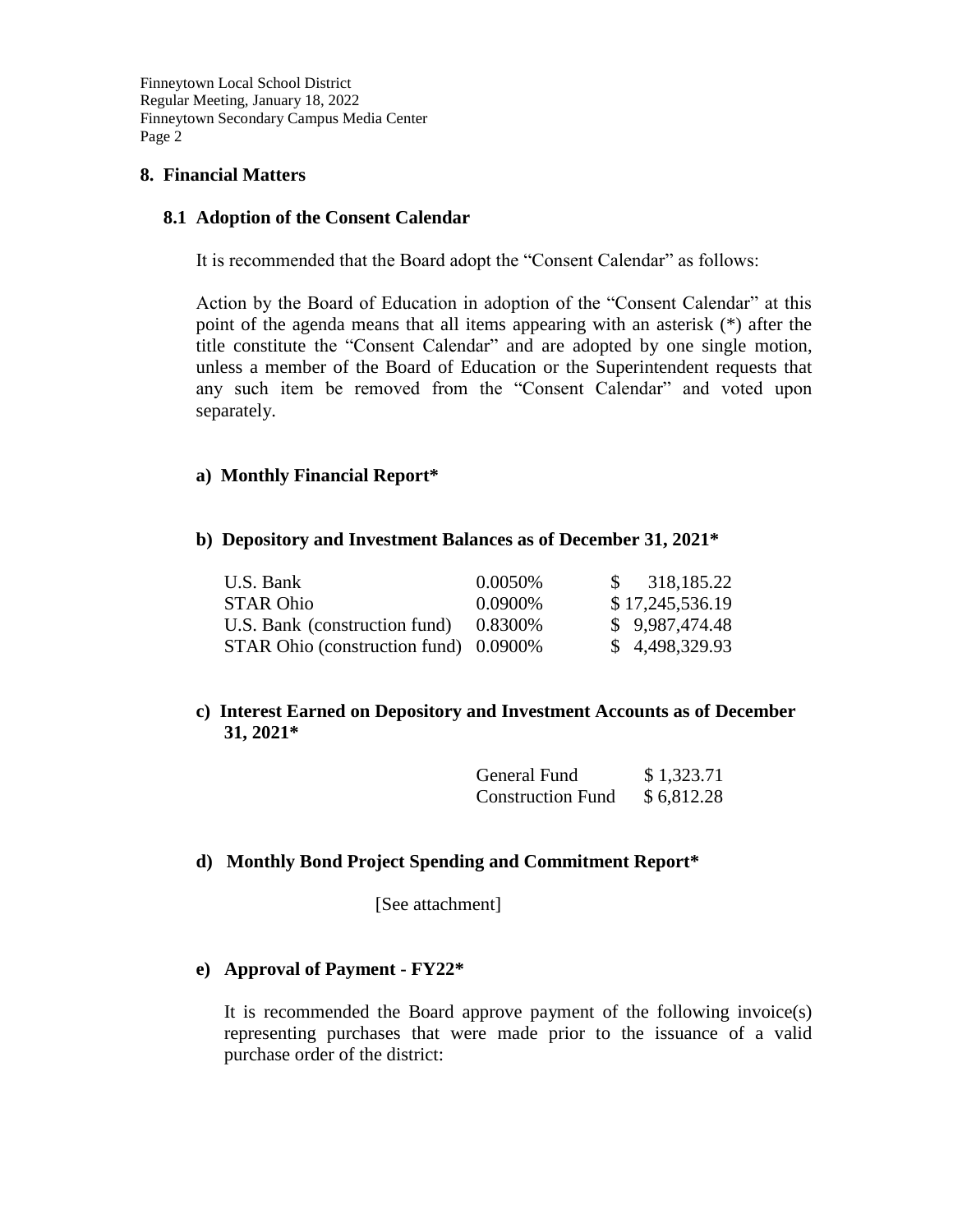# **8. Financial Matters**

# **8.1 Adoption of the Consent Calendar**

It is recommended that the Board adopt the "Consent Calendar" as follows:

Action by the Board of Education in adoption of the "Consent Calendar" at this point of the agenda means that all items appearing with an asterisk (\*) after the title constitute the "Consent Calendar" and are adopted by one single motion, unless a member of the Board of Education or the Superintendent requests that any such item be removed from the "Consent Calendar" and voted upon separately.

# **a) Monthly Financial Report\***

# **b) Depository and Investment Balances as of December 31, 2021\***

| U.S. Bank                             | 0.0050\% | \$318,185.22    |
|---------------------------------------|----------|-----------------|
| <b>STAR Ohio</b>                      | 0.0900\% | \$17,245,536.19 |
| U.S. Bank (construction fund)         | 0.8300\% | \$9,987,474.48  |
| STAR Ohio (construction fund) 0.0900% |          | \$4,498,329.93  |

# **c) Interest Earned on Depository and Investment Accounts as of December 31, 2021\***

| General Fund             | \$1,323.71 |
|--------------------------|------------|
| <b>Construction Fund</b> | \$6,812.28 |

# **d) Monthly Bond Project Spending and Commitment Report\***

[See attachment]

# **e) Approval of Payment - FY22\***

It is recommended the Board approve payment of the following invoice(s) representing purchases that were made prior to the issuance of a valid purchase order of the district: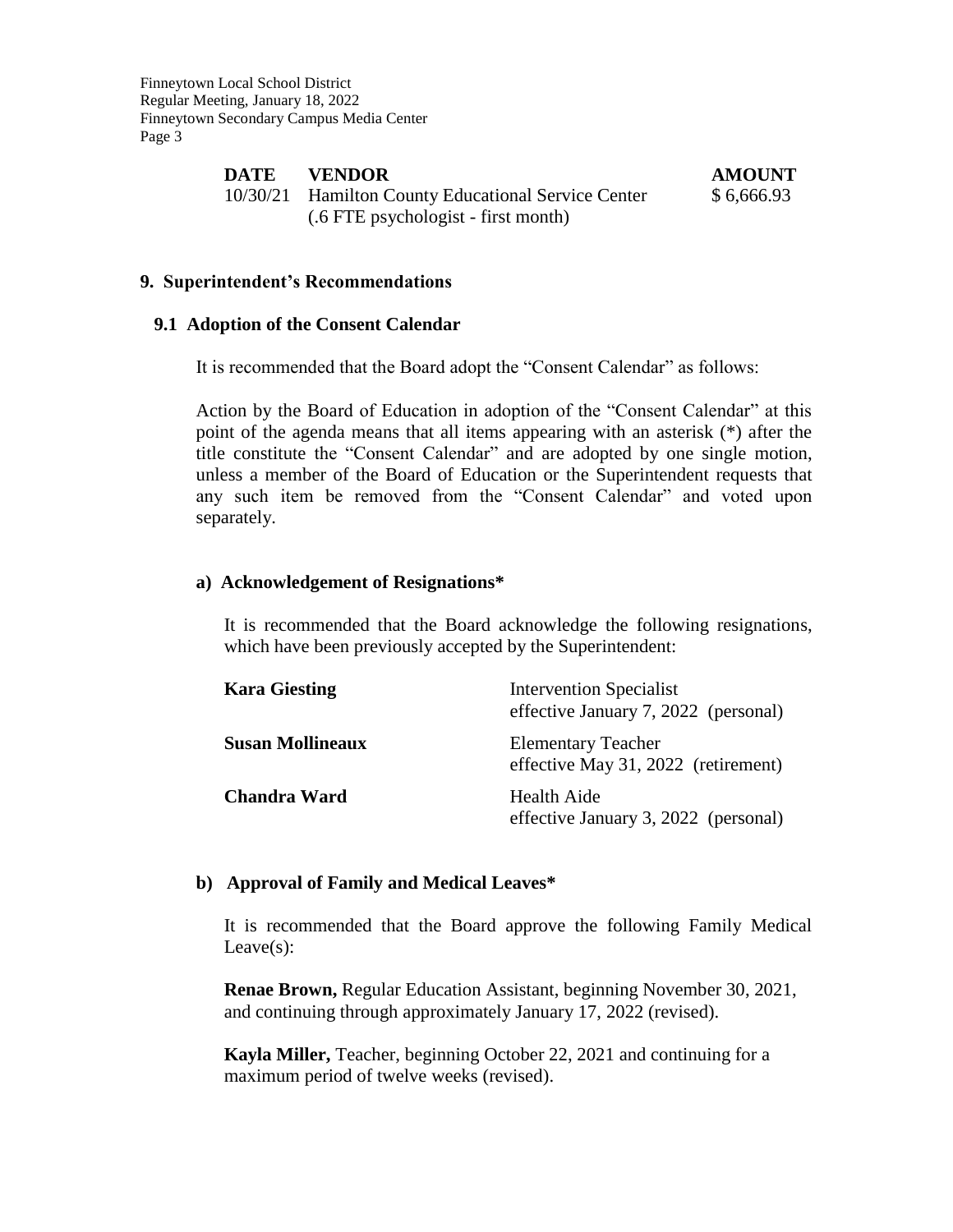| DATE | <b>VENDOR</b>                                       | <b>AMOUNT</b> |
|------|-----------------------------------------------------|---------------|
|      | 10/30/21 Hamilton County Educational Service Center | \$6,666.93    |
|      | (.6 FTE psychologist - first month)                 |               |

### **9. Superintendent's Recommendations**

#### **9.1 Adoption of the Consent Calendar**

It is recommended that the Board adopt the "Consent Calendar" as follows:

Action by the Board of Education in adoption of the "Consent Calendar" at this point of the agenda means that all items appearing with an asterisk (\*) after the title constitute the "Consent Calendar" and are adopted by one single motion, unless a member of the Board of Education or the Superintendent requests that any such item be removed from the "Consent Calendar" and voted upon separately.

#### **a) Acknowledgement of Resignations\***

It is recommended that the Board acknowledge the following resignations, which have been previously accepted by the Superintendent:

| <b>Kara Giesting</b>    | <b>Intervention Specialist</b><br>effective January 7, 2022 (personal) |
|-------------------------|------------------------------------------------------------------------|
| <b>Susan Mollineaux</b> | <b>Elementary Teacher</b><br>effective May 31, 2022 (retirement)       |
| <b>Chandra Ward</b>     | Health Aide<br>effective January 3, 2022 (personal)                    |

#### **b) Approval of Family and Medical Leaves\***

It is recommended that the Board approve the following Family Medical Leave(s):

**Renae Brown,** Regular Education Assistant, beginning November 30, 2021, and continuing through approximately January 17, 2022 (revised).

**Kayla Miller,** Teacher, beginning October 22, 2021 and continuing for a maximum period of twelve weeks (revised).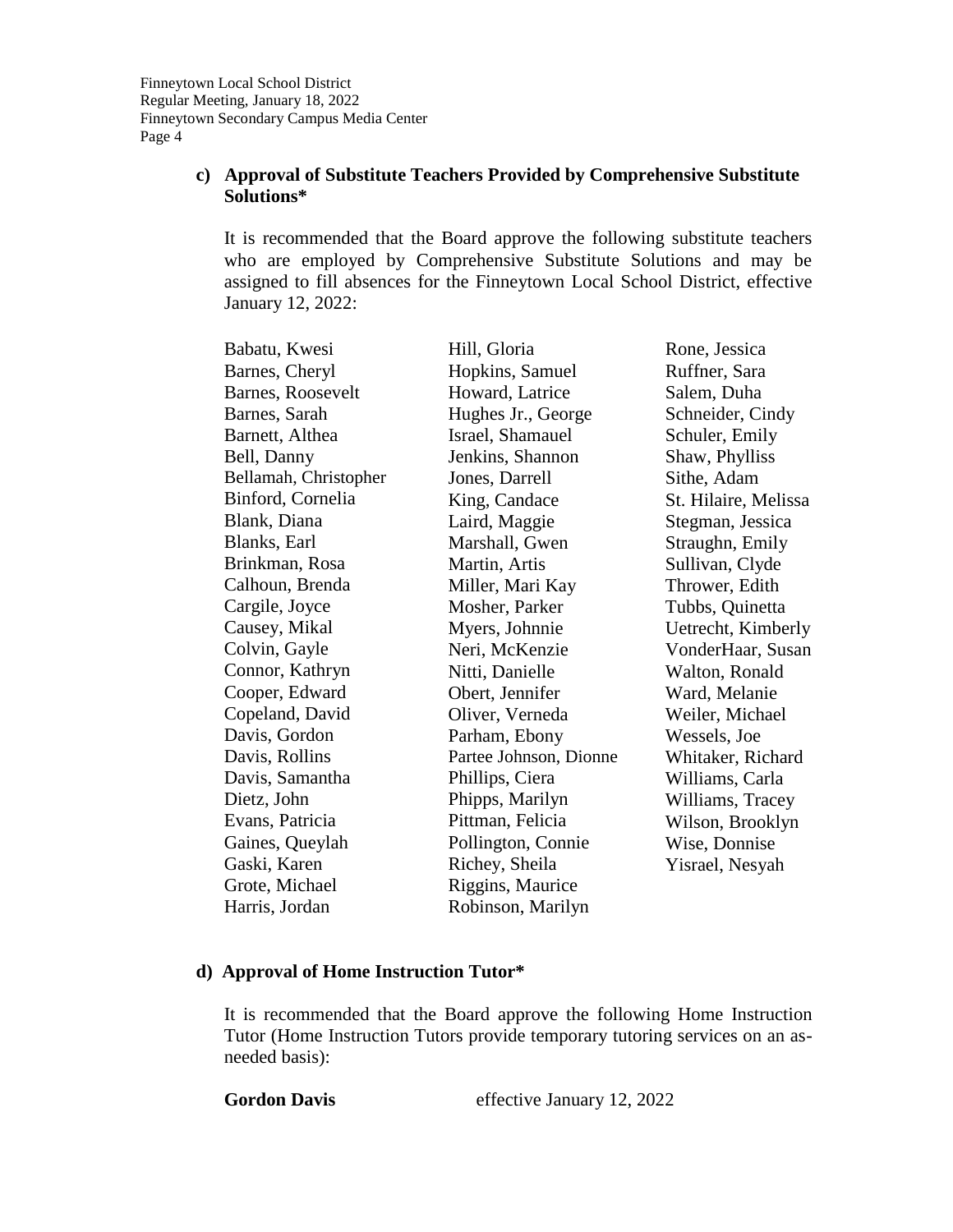# **c) Approval of Substitute Teachers Provided by Comprehensive Substitute Solutions\***

It is recommended that the Board approve the following substitute teachers who are employed by Comprehensive Substitute Solutions and may be assigned to fill absences for the Finneytown Local School District, effective January 12, 2022:

| Babatu, Kwesi         | Hill, Gloria           | Rone, Jessica        |
|-----------------------|------------------------|----------------------|
| Barnes, Cheryl        | Hopkins, Samuel        | Ruffner, Sara        |
| Barnes, Roosevelt     | Howard, Latrice        | Salem, Duha          |
| Barnes, Sarah         | Hughes Jr., George     | Schneider, Cindy     |
| Barnett, Althea       | Israel, Shamauel       | Schuler, Emily       |
| Bell, Danny           | Jenkins, Shannon       | Shaw, Phylliss       |
| Bellamah, Christopher | Jones, Darrell         | Sithe, Adam          |
| Binford, Cornelia     | King, Candace          | St. Hilaire, Melissa |
| Blank, Diana          | Laird, Maggie          | Stegman, Jessica     |
| Blanks, Earl          | Marshall, Gwen         | Straughn, Emily      |
| Brinkman, Rosa        | Martin, Artis          | Sullivan, Clyde      |
| Calhoun, Brenda       | Miller, Mari Kay       | Thrower, Edith       |
| Cargile, Joyce        | Mosher, Parker         | Tubbs, Quinetta      |
| Causey, Mikal         | Myers, Johnnie         | Uetrecht, Kimberly   |
| Colvin, Gayle         | Neri, McKenzie         | VonderHaar, Susan    |
| Connor, Kathryn       | Nitti, Danielle        | Walton, Ronald       |
| Cooper, Edward        | Obert, Jennifer        | Ward, Melanie        |
| Copeland, David       | Oliver, Verneda        | Weiler, Michael      |
| Davis, Gordon         | Parham, Ebony          | Wessels, Joe         |
| Davis, Rollins        | Partee Johnson, Dionne | Whitaker, Richard    |
| Davis, Samantha       | Phillips, Ciera        | Williams, Carla      |
| Dietz, John           | Phipps, Marilyn        | Williams, Tracey     |
| Evans, Patricia       | Pittman, Felicia       | Wilson, Brooklyn     |
| Gaines, Queylah       | Pollington, Connie     | Wise, Donnise        |
| Gaski, Karen          | Richey, Sheila         | Yisrael, Nesyah      |
| Grote, Michael        | Riggins, Maurice       |                      |
| Harris, Jordan        | Robinson, Marilyn      |                      |

# **d) Approval of Home Instruction Tutor\***

It is recommended that the Board approve the following Home Instruction Tutor (Home Instruction Tutors provide temporary tutoring services on an asneeded basis):

Gordon Davis effective January 12, 2022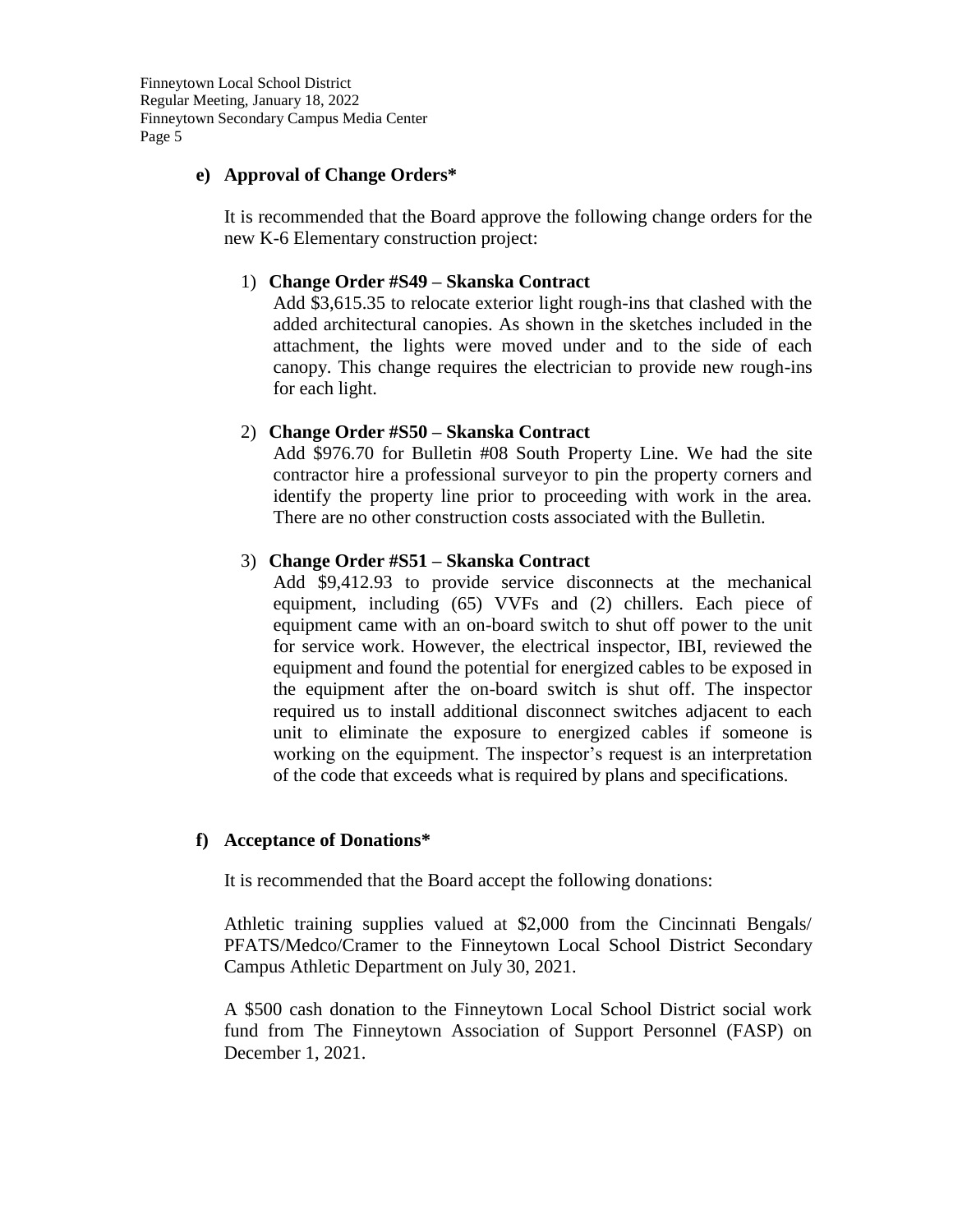# **e) Approval of Change Orders\***

It is recommended that the Board approve the following change orders for the new K-6 Elementary construction project:

## 1) **Change Order #S49 – Skanska Contract**

Add \$3,615.35 to relocate exterior light rough-ins that clashed with the added architectural canopies. As shown in the sketches included in the attachment, the lights were moved under and to the side of each canopy. This change requires the electrician to provide new rough-ins for each light.

## 2) **Change Order #S50 – Skanska Contract**

Add \$976.70 for Bulletin #08 South Property Line. We had the site contractor hire a professional surveyor to pin the property corners and identify the property line prior to proceeding with work in the area. There are no other construction costs associated with the Bulletin.

## 3) **Change Order #S51 – Skanska Contract**

Add \$9,412.93 to provide service disconnects at the mechanical equipment, including (65) VVFs and (2) chillers. Each piece of equipment came with an on-board switch to shut off power to the unit for service work. However, the electrical inspector, IBI, reviewed the equipment and found the potential for energized cables to be exposed in the equipment after the on-board switch is shut off. The inspector required us to install additional disconnect switches adjacent to each unit to eliminate the exposure to energized cables if someone is working on the equipment. The inspector's request is an interpretation of the code that exceeds what is required by plans and specifications.

# **f) Acceptance of Donations\***

It is recommended that the Board accept the following donations:

Athletic training supplies valued at \$2,000 from the Cincinnati Bengals/ PFATS/Medco/Cramer to the Finneytown Local School District Secondary Campus Athletic Department on July 30, 2021.

A \$500 cash donation to the Finneytown Local School District social work fund from The Finneytown Association of Support Personnel (FASP) on December 1, 2021.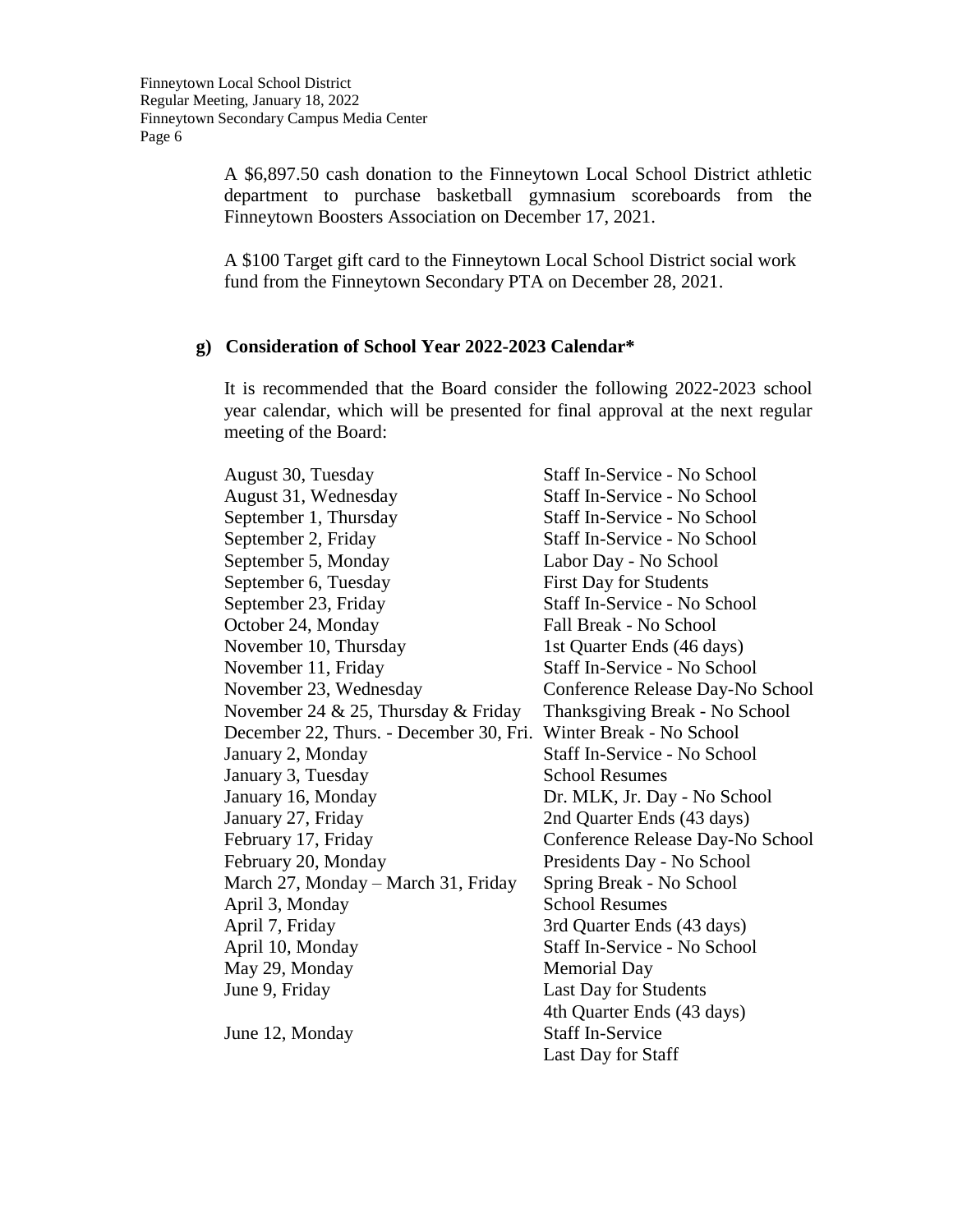A \$6,897.50 cash donation to the Finneytown Local School District athletic department to purchase basketball gymnasium scoreboards from the Finneytown Boosters Association on December 17, 2021.

A \$100 Target gift card to the Finneytown Local School District social work fund from the Finneytown Secondary PTA on December 28, 2021.

## **g) Consideration of School Year 2022-2023 Calendar\***

It is recommended that the Board consider the following 2022-2023 school year calendar, which will be presented for final approval at the next regular meeting of the Board:

August 30, Tuesday Staff In-Service - No School August 31, Wednesday Staff In-Service - No School September 1, Thursday Staff In-Service - No School September 2, Friday Staff In-Service - No School September 5, Monday Labor Day - No School September 6, Tuesday First Day for Students September 23, Friday Staff In-Service - No School October 24, Monday Fall Break - No School November 10, Thursday 1st Quarter Ends (46 days) November 11, Friday Staff In-Service - No School November 23, Wednesday Conference Release Day-No School November 24 & 25, Thursday & Friday Thanksgiving Break - No School December 22, Thurs. - December 30, Fri. Winter Break - No School January 2, Monday Staff In-Service - No School January 3, Tuesday School Resumes January 16, Monday Dr. MLK, Jr. Day - No School January 27, Friday 2nd Quarter Ends (43 days) February 17, Friday Conference Release Day-No School February 20, Monday Presidents Day - No School March 27, Monday – March 31, Friday Spring Break - No School April 3, Monday School Resumes April 7, Friday 3rd Quarter Ends (43 days) April 10, Monday Staff In-Service - No School May 29, Monday Memorial Day June 9, Friday Last Day for Students 4th Quarter Ends (43 days) June 12, Monday Staff In-Service Last Day for Staff